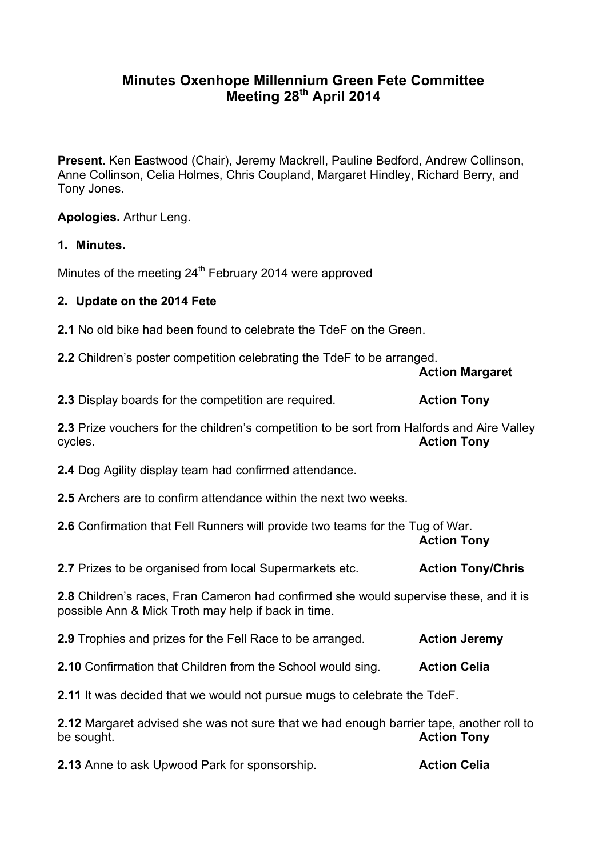## **Minutes Oxenhope Millennium Green Fete Committee Meeting 28th April 2014**

**Present.** Ken Eastwood (Chair), Jeremy Mackrell, Pauline Bedford, Andrew Collinson, Anne Collinson, Celia Holmes, Chris Coupland, Margaret Hindley, Richard Berry, and Tony Jones.

**Apologies.** Arthur Leng.

## **1. Minutes.**

Minutes of the meeting  $24<sup>th</sup>$  February 2014 were approved

## **2. Update on the 2014 Fete**

**2.1** No old bike had been found to celebrate the TdeF on the Green.

**2.2** Children's poster competition celebrating the TdeF to be arranged.

**Action Margaret**

**2.3** Display boards for the competition are required. **Action Tony** 

**2.3** Prize vouchers for the children's competition to be sort from Halfords and Aire Valley cycles. **Action Tony**

**2.4** Dog Agility display team had confirmed attendance.

**2.5** Archers are to confirm attendance within the next two weeks.

**2.6** Confirmation that Fell Runners will provide two teams for the Tug of War.

**Action Tony**

**2.7 Prizes to be organised from local Supermarkets etc. Action Tony/Chris** 

**2.8** Children's races, Fran Cameron had confirmed she would supervise these, and it is possible Ann & Mick Troth may help if back in time.

**2.9** Trophies and prizes for the Fell Race to be arranged. **Action Jeremy** 

**2.10** Confirmation that Children from the School would sing. **Action Celia**

**2.11** It was decided that we would not pursue mugs to celebrate the TdeF.

**2.12** Margaret advised she was not sure that we had enough barrier tape, another roll to be sought. **Action Tony**

**2.13** Anne to ask Upwood Park for sponsorship. **Action Celia**